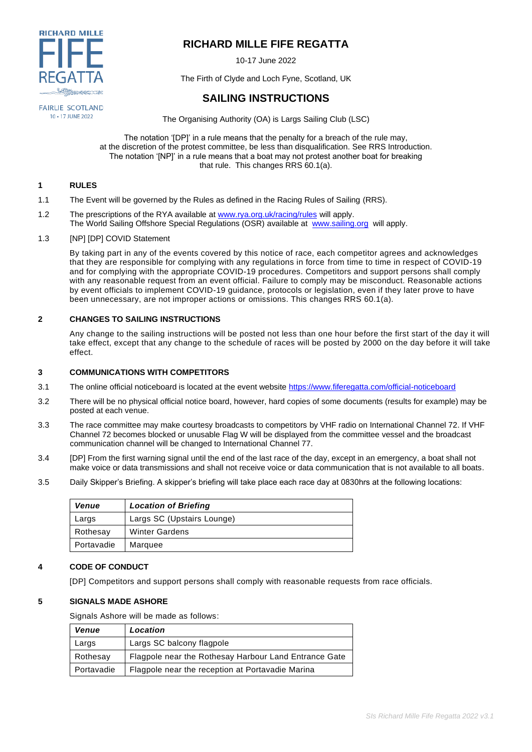

# **RICHARD MILLE FIFE REGATTA**

10-17 June 2022

The Firth of Clyde and Loch Fyne, Scotland, UK

# **SAILING INSTRUCTIONS**

**FAIRLIE SCOTLAND** 10 - 17 JUNE 2022

The Organising Authority (OA) is Largs Sailing Club (LSC)

The notation '[DP]' in a rule means that the penalty for a breach of the rule may, at the discretion of the protest committee, be less than disqualification. See RRS Introduction. The notation '[NP]' in a rule means that a boat may not protest another boat for breaking that rule. This changes RRS 60.1(a).

## **1 RULES**

- 1.1 The Event will be governed by the Rules as defined in the Racing Rules of Sailing (RRS).
- 1.2 The prescriptions of the RYA available at [www.rya.org.uk/racing/rules](https://emea01.safelinks.protection.outlook.com/?url=http%3A%2F%2Fwww.rya.org.uk%2Fracing%2Frules&data=04%7C01%7C%7Cdfba866565ac4e5623fd08d91c78372e%7C84df9e7fe9f640afb435aaaaaaaaaaaa%7C1%7C0%7C637572124909640489%7CUnknown%7CTWFpbGZsb3d8eyJWIjoiMC4wLjAwMDAiLCJQIjoiV2luMzIiLCJBTiI6Ik1haWwiLCJXVCI6Mn0%3D%7C1000&sdata=H9pW4TX2PuBT85RMrizahyzbo3aHkbzD832oUdYdWKg%3D&reserved=0) will apply. The World Sailing Offshore Special Regulations (OSR) available at [www.sailing.org](http://www.sailing.org/) will apply.
- 1.3 [NP] [DP] COVID Statement

By taking part in any of the events covered by this notice of race, each competitor agrees and acknowledges that they are responsible for complying with any regulations in force from time to time in respect of COVID-19 and for complying with the appropriate COVID-19 procedures. Competitors and support persons shall comply with any reasonable request from an event official. Failure to comply may be misconduct. Reasonable actions by event officials to implement COVID-19 guidance, protocols or legislation, even if they later prove to have been unnecessary, are not improper actions or omissions. This changes RRS 60.1(a).

## **2 CHANGES TO SAILING INSTRUCTIONS**

Any change to the sailing instructions will be posted not less than one hour before the first start of the day it will take effect, except that any change to the schedule of races will be posted by 2000 on the day before it will take effect.

## **3 COMMUNICATIONS WITH COMPETITORS**

- 3.1 The online official noticeboard is located at the event website<https://www.fiferegatta.com/official-noticeboard>
- 3.2 There will be no physical official notice board, however, hard copies of some documents (results for example) may be posted at each venue.
- 3.3 The race committee may make courtesy broadcasts to competitors by VHF radio on International Channel 72. If VHF Channel 72 becomes blocked or unusable Flag W will be displayed from the committee vessel and the broadcast communication channel will be changed to International Channel 77.
- 3.4 [DP] From the first warning signal until the end of the last race of the day, except in an emergency, a boat shall not make voice or data transmissions and shall not receive voice or data communication that is not available to all boats.
- 3.5 Daily Skipper's Briefing. A skipper's briefing will take place each race day at 0830hrs at the following locations:

| <b>Venue</b> | <b>Location of Briefing</b> |  |
|--------------|-----------------------------|--|
| Largs        | Largs SC (Upstairs Lounge)  |  |
| Rothesay     | <b>Winter Gardens</b>       |  |
| Portavadie   | Marquee                     |  |

## **4 CODE OF CONDUCT**

[DP] Competitors and support persons shall comply with reasonable requests from race officials.

## **5 SIGNALS MADE ASHORE**

Signals Ashore will be made as follows:

| <b>Venue</b> | Location                                              |
|--------------|-------------------------------------------------------|
| Largs        | Largs SC balcony flagpole                             |
| Rothesay     | Flagpole near the Rothesay Harbour Land Entrance Gate |
| Portavadie   | Flagpole near the reception at Portavadie Marina      |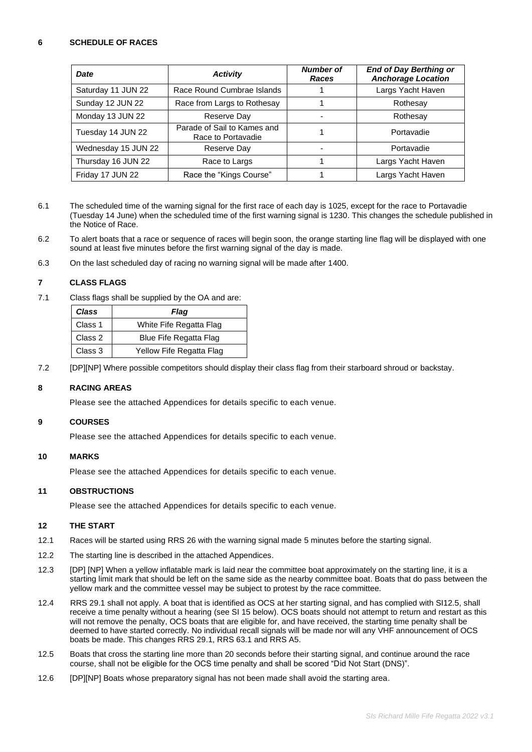## **6 SCHEDULE OF RACES**

| <b>Date</b>         | <b>Activity</b>                                   | <b>Number of</b><br>Races | <b>End of Day Berthing or</b><br><b>Anchorage Location</b> |
|---------------------|---------------------------------------------------|---------------------------|------------------------------------------------------------|
| Saturday 11 JUN 22  | Race Round Cumbrae Islands                        |                           | Largs Yacht Haven                                          |
| Sunday 12 JUN 22    | Race from Largs to Rothesay                       |                           | Rothesay                                                   |
| Monday 13 JUN 22    | Reserve Day                                       |                           | Rothesay                                                   |
| Tuesday 14 JUN 22   | Parade of Sail to Kames and<br>Race to Portavadie |                           | Portavadie                                                 |
| Wednesday 15 JUN 22 | Reserve Day                                       |                           | Portavadie                                                 |
| Thursday 16 JUN 22  | Race to Largs                                     |                           | Largs Yacht Haven                                          |
| Friday 17 JUN 22    | Race the "Kings Course"                           |                           | Largs Yacht Haven                                          |

- 6.1 The scheduled time of the warning signal for the first race of each day is 1025, except for the race to Portavadie (Tuesday 14 June) when the scheduled time of the first warning signal is 1230. This changes the schedule published in the Notice of Race.
- 6.2 To alert boats that a race or sequence of races will begin soon, the orange starting line flag will be displayed with one sound at least five minutes before the first warning signal of the day is made.
- 6.3 On the last scheduled day of racing no warning signal will be made after 1400.

## **7 CLASS FLAGS**

7.1 Class flags shall be supplied by the OA and are:

| Class   | Flaq                     |
|---------|--------------------------|
| Class 1 | White Fife Regatta Flag  |
| Class 2 | Blue Fife Regatta Flag   |
| Class 3 | Yellow Fife Regatta Flag |

7.2 [DP][NP] Where possible competitors should display their class flag from their starboard shroud or backstay.

## **8 RACING AREAS**

Please see the attached Appendices for details specific to each venue.

## **9 COURSES**

Please see the attached Appendices for details specific to each venue.

## **10 MARKS**

Please see the attached Appendices for details specific to each venue.

## **11 OBSTRUCTIONS**

Please see the attached Appendices for details specific to each venue.

## **12 THE START**

- 12.1 Races will be started using RRS 26 with the warning signal made 5 minutes before the starting signal.
- 12.2 The starting line is described in the attached Appendices.
- 12.3 [DP] [NP] When a yellow inflatable mark is laid near the committee boat approximately on the starting line, it is a starting limit mark that should be left on the same side as the nearby committee boat. Boats that do pass between the yellow mark and the committee vessel may be subject to protest by the race committee.
- 12.4 RRS 29.1 shall not apply. A boat that is identified as OCS at her starting signal, and has complied with SI12.5, shall receive a time penalty without a hearing (see SI 15 below). OCS boats should not attempt to return and restart as this will not remove the penalty, OCS boats that are eligible for, and have received, the starting time penalty shall be deemed to have started correctly. No individual recall signals will be made nor will any VHF announcement of OCS boats be made. This changes RRS 29.1, RRS 63.1 and RRS A5.
- 12.5 Boats that cross the starting line more than 20 seconds before their starting signal, and continue around the race course, shall not be eligible for the OCS time penalty and shall be scored "Did Not Start (DNS)".
- 12.6 [DP][NP] Boats whose preparatory signal has not been made shall avoid the starting area.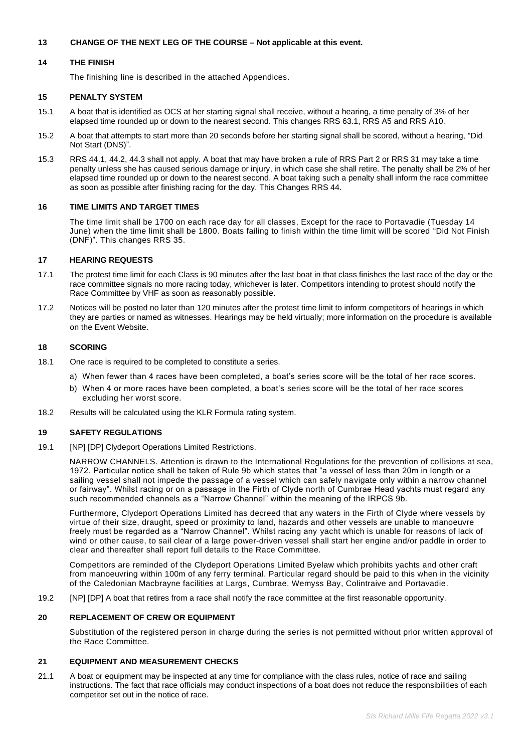## **13 CHANGE OF THE NEXT LEG OF THE COURSE – Not applicable at this event.**

## **14 THE FINISH**

The finishing line is described in the attached Appendices.

#### **15 PENALTY SYSTEM**

- 15.1 A boat that is identified as OCS at her starting signal shall receive, without a hearing, a time penalty of 3% of her elapsed time rounded up or down to the nearest second. This changes RRS 63.1, RRS A5 and RRS A10.
- 15.2 A boat that attempts to start more than 20 seconds before her starting signal shall be scored, without a hearing, "Did Not Start (DNS)".
- 15.3 RRS 44.1, 44.2, 44.3 shall not apply. A boat that may have broken a rule of RRS Part 2 or RRS 31 may take a time penalty unless she has caused serious damage or injury, in which case she shall retire. The penalty shall be 2% of her elapsed time rounded up or down to the nearest second. A boat taking such a penalty shall inform the race committee as soon as possible after finishing racing for the day. This Changes RRS 44.

#### **16 TIME LIMITS AND TARGET TIMES**

The time limit shall be 1700 on each race day for all classes, Except for the race to Portavadie (Tuesday 14 June) when the time limit shall be 1800. Boats failing to finish within the time limit will be scored "Did Not Finish (DNF)". This changes RRS 35.

## **17 HEARING REQUESTS**

- 17.1 The protest time limit for each Class is 90 minutes after the last boat in that class finishes the last race of the day or the race committee signals no more racing today, whichever is later. Competitors intending to protest should notify the Race Committee by VHF as soon as reasonably possible.
- 17.2 Notices will be posted no later than 120 minutes after the protest time limit to inform competitors of hearings in which they are parties or named as witnesses. Hearings may be held virtually; more information on the procedure is available on the Event Website.

## **18 SCORING**

- 18.1 One race is required to be completed to constitute a series.
	- a) When fewer than 4 races have been completed, a boat's series score will be the total of her race scores.
	- b) When 4 or more races have been completed, a boat's series score will be the total of her race scores excluding her worst score.
- 18.2 Results will be calculated using the KLR Formula rating system.

## **19 SAFETY REGULATIONS**

19.1 [NP] [DP] Clydeport Operations Limited Restrictions.

NARROW CHANNELS. Attention is drawn to the International Regulations for the prevention of collisions at sea, 1972. Particular notice shall be taken of Rule 9b which states that "a vessel of less than 20m in length or a sailing vessel shall not impede the passage of a vessel which can safely navigate only within a narrow channel or fairway". Whilst racing or on a passage in the Firth of Clyde north of Cumbrae Head yachts must regard any such recommended channels as a "Narrow Channel" within the meaning of the IRPCS 9b.

Furthermore, Clydeport Operations Limited has decreed that any waters in the Firth of Clyde where vessels by virtue of their size, draught, speed or proximity to land, hazards and other vessels are unable to manoeuvre freely must be regarded as a "Narrow Channel". Whilst racing any yacht which is unable for reasons of lack of wind or other cause, to sail clear of a large power-driven vessel shall start her engine and/or paddle in order to clear and thereafter shall report full details to the Race Committee.

Competitors are reminded of the Clydeport Operations Limited Byelaw which prohibits yachts and other craft from manoeuvring within 100m of any ferry terminal. Particular regard should be paid to this when in the vicinity of the Caledonian Macbrayne facilities at Largs, Cumbrae, Wemyss Bay, Colintraive and Portavadie.

19.2 [NP] [DP] A boat that retires from a race shall notify the race committee at the first reasonable opportunity.

## **20 REPLACEMENT OF CREW OR EQUIPMENT**

Substitution of the registered person in charge during the series is not permitted without prior written approval of the Race Committee.

#### **21 EQUIPMENT AND MEASUREMENT CHECKS**

21.1 A boat or equipment may be inspected at any time for compliance with the class rules, notice of race and sailing instructions. The fact that race officials may conduct inspections of a boat does not reduce the responsibilities of each competitor set out in the notice of race.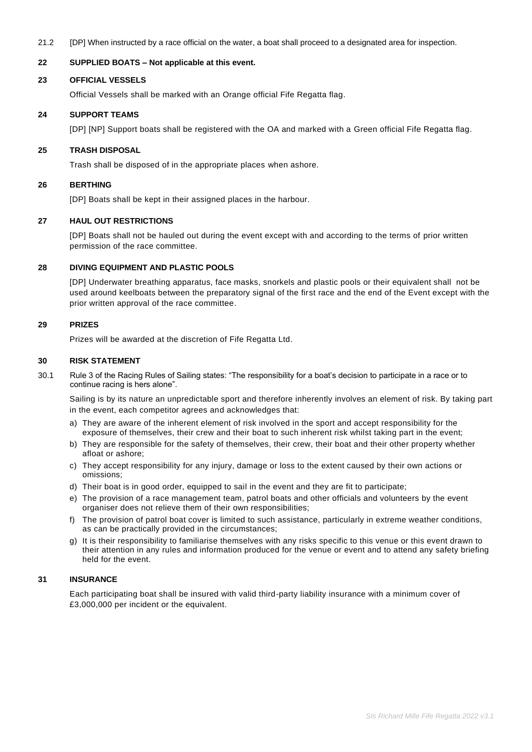21.2 [DP] When instructed by a race official on the water, a boat shall proceed to a designated area for inspection.

## **22 SUPPLIED BOATS – Not applicable at this event.**

#### **23 OFFICIAL VESSELS**

Official Vessels shall be marked with an Orange official Fife Regatta flag.

#### **24 SUPPORT TEAMS**

[DP] [NP] Support boats shall be registered with the OA and marked with a Green official Fife Regatta flag.

## **25 TRASH DISPOSAL**

Trash shall be disposed of in the appropriate places when ashore.

#### **26 BERTHING**

[DP] Boats shall be kept in their assigned places in the harbour.

## **27 HAUL OUT RESTRICTIONS**

[DP] Boats shall not be hauled out during the event except with and according to the terms of prior written permission of the race committee.

## **28 DIVING EQUIPMENT AND PLASTIC POOLS**

[DP] Underwater breathing apparatus, face masks, snorkels and plastic pools or their equivalent shall not be used around keelboats between the preparatory signal of the first race and the end of the Event except with the prior written approval of the race committee.

#### **29 PRIZES**

Prizes will be awarded at the discretion of Fife Regatta Ltd.

#### **30 RISK STATEMENT**

30.1 Rule 3 of the Racing Rules of Sailing states: "The responsibility for a boat's decision to participate in a race or to continue racing is hers alone".

Sailing is by its nature an unpredictable sport and therefore inherently involves an element of risk. By taking part in the event, each competitor agrees and acknowledges that:

- a) They are aware of the inherent element of risk involved in the sport and accept responsibility for the exposure of themselves, their crew and their boat to such inherent risk whilst taking part in the event;
- b) They are responsible for the safety of themselves, their crew, their boat and their other property whether afloat or ashore;
- c) They accept responsibility for any injury, damage or loss to the extent caused by their own actions or omissions;
- d) Their boat is in good order, equipped to sail in the event and they are fit to participate;
- e) The provision of a race management team, patrol boats and other officials and volunteers by the event organiser does not relieve them of their own responsibilities;
- f) The provision of patrol boat cover is limited to such assistance, particularly in extreme weather conditions, as can be practically provided in the circumstances;
- g) It is their responsibility to familiarise themselves with any risks specific to this venue or this event drawn to their attention in any rules and information produced for the venue or event and to attend any safety briefing held for the event.

#### **31 INSURANCE**

Each participating boat shall be insured with valid third-party liability insurance with a minimum cover of £3,000,000 per incident or the equivalent.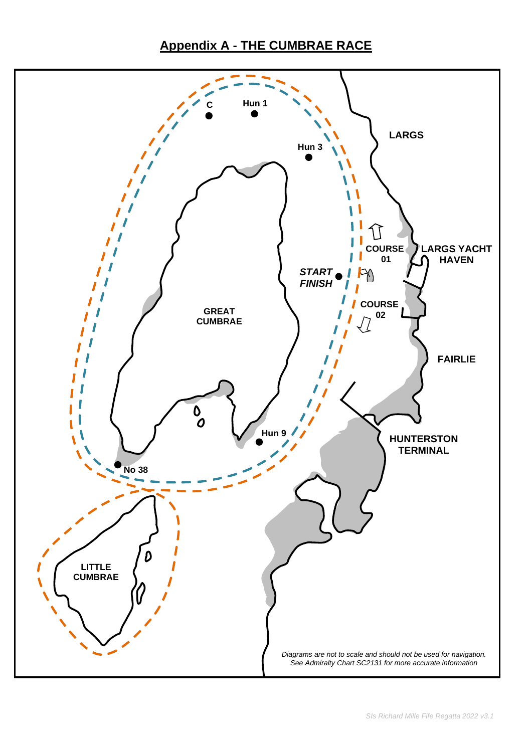# **Appendix A - THE CUMBRAE RACE**

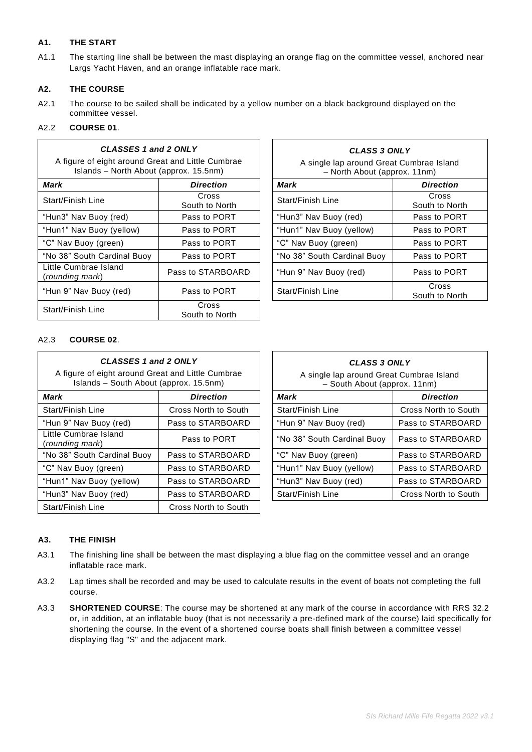# **A1. THE START**

A1.1 The starting line shall be between the mast displaying an orange flag on the committee vessel, anchored near Largs Yacht Haven, and an orange inflatable race mark.

 $\mathsf{r}$ 

٦

# **A2. THE COURSE**

A2.1 The course to be sailed shall be indicated by a yellow number on a black background displayed on the committee vessel.

# A2.2 **COURSE 01**.

 $\overline{1}$ 

| CLASSES 1 and 2 ONLY                                                                        |                         | <b>CLASS 3 ONLY</b>                                                      |                         |  |
|---------------------------------------------------------------------------------------------|-------------------------|--------------------------------------------------------------------------|-------------------------|--|
| A figure of eight around Great and Little Cumbrae<br>Islands - North About (approx. 15.5nm) |                         | A single lap around Great Cumbrae Island<br>- North About (approx. 11nm) |                         |  |
| <b>Mark</b>                                                                                 | <b>Direction</b>        | Mark                                                                     | <b>Direction</b>        |  |
| Start/Finish Line                                                                           | Cross<br>South to North | Start/Finish Line                                                        | Cross<br>South to North |  |
| "Hun3" Nav Buoy (red)                                                                       | Pass to PORT            | "Hun3" Nav Buoy (red)                                                    | Pass to PORT            |  |
| "Hun1" Nav Buoy (yellow)                                                                    | Pass to PORT            | "Hun1" Nav Buoy (yellow)                                                 | Pass to PORT            |  |
| "C" Nav Buoy (green)                                                                        | Pass to PORT            | "C" Nav Buoy (green)                                                     | Pass to PORT            |  |
| "No 38" South Cardinal Buoy                                                                 | Pass to PORT            | "No 38" South Cardinal Buoy                                              | Pass to PORT            |  |
| Little Cumbrae Island<br>(rounding mark)                                                    | Pass to STARBOARD       | "Hun 9" Nav Buoy (red)                                                   | Pass to PORT            |  |
| "Hun 9" Nav Buoy (red)                                                                      | Pass to PORT            | Start/Finish Line                                                        | Cross<br>South to North |  |
| Start/Finish Line                                                                           | Cross<br>South to North |                                                                          |                         |  |

| 2 ONLY<br>and Little Cumbrae<br>pprox. 15.5nm) | <b>CLASS 3 ONLY</b><br>A single lap around Great Cumbrae Island<br>- North About (approx. 11nm) |                         |  |
|------------------------------------------------|-------------------------------------------------------------------------------------------------|-------------------------|--|
| <b>Direction</b>                               | Mark                                                                                            | <b>Direction</b>        |  |
| Cross<br>South to North                        | Start/Finish Line                                                                               | Cross<br>South to North |  |
| Pass to PORT                                   | "Hun3" Nav Buoy (red)                                                                           | Pass to PORT            |  |
| Pass to PORT                                   | "Hun1" Nav Buoy (yellow)                                                                        | Pass to PORT            |  |
| Pass to PORT                                   | "C" Nav Buoy (green)                                                                            | Pass to PORT            |  |
| Pass to PORT                                   | "No 38" South Cardinal Buoy                                                                     | Pass to PORT            |  |
| Pass to STARBOARD                              | "Hun 9" Nav Buoy (red)                                                                          | Pass to PORT            |  |
| Pass to PORT                                   | Start/Finish Line                                                                               | Cross<br>South to North |  |
| $\sim$ $\sim$                                  |                                                                                                 |                         |  |

# A2.3 **COURSE 02**.

| CLASSES 1 and 2 ONLY<br>A figure of eight around Great and Little Cumbrae<br>Islands - South About (approx. 15.5nm) |                      | CLASS 3 ONLY<br>A single lap around Great Cumbrae Island<br>- South About (approx. 11nm) |                      |
|---------------------------------------------------------------------------------------------------------------------|----------------------|------------------------------------------------------------------------------------------|----------------------|
| Mark                                                                                                                | <b>Direction</b>     | Mark                                                                                     | <b>Direction</b>     |
| Start/Finish Line                                                                                                   | Cross North to South | <b>Start/Finish Line</b>                                                                 | Cross North to South |
| "Hun 9" Nav Buoy (red)                                                                                              | Pass to STARBOARD    | "Hun 9" Nav Buoy (red)                                                                   | Pass to STARBOARD    |
| Little Cumbrae Island<br>(rounding mark)                                                                            | Pass to PORT         | "No 38" South Cardinal Buoy                                                              | Pass to STARBOARD    |
| "No 38" South Cardinal Buoy                                                                                         | Pass to STARBOARD    | "C" Nav Buoy (green)                                                                     | Pass to STARBOARD    |
| "C" Nav Buoy (green)                                                                                                | Pass to STARBOARD    | "Hun1" Nav Buoy (yellow)                                                                 | Pass to STARBOARD    |
| "Hun1" Nav Buoy (yellow)                                                                                            | Pass to STARBOARD    | "Hun3" Nav Buoy (red)                                                                    | Pass to STARBOARD    |
| "Hun3" Nav Buoy (red)                                                                                               | Pass to STARBOARD    | Start/Finish Line                                                                        | Cross North to South |
| Start/Finish Line                                                                                                   | Cross North to South |                                                                                          |                      |

| <b>CLASS 3 ONLY</b><br>A single lap around Great Cumbrae Island<br>- South About (approx. 11nm) |                      |  |
|-------------------------------------------------------------------------------------------------|----------------------|--|
| Mark                                                                                            | <b>Direction</b>     |  |
| Start/Finish Line                                                                               | Cross North to South |  |
| "Hun 9" Nav Buoy (red)                                                                          | Pass to STARBOARD    |  |
| "No 38" South Cardinal Buoy                                                                     | Pass to STARBOARD    |  |
| "C" Nav Buoy (green)                                                                            | Pass to STARBOARD    |  |
| "Hun1" Nav Buoy (yellow)                                                                        | Pass to STARBOARD    |  |
| "Hun3" Nav Buoy (red)                                                                           | Pass to STARBOARD    |  |
| Start/Finish Line                                                                               | Cross North to South |  |
|                                                                                                 |                      |  |

## **A3. THE FINISH**

- A3.1 The finishing line shall be between the mast displaying a blue flag on the committee vessel and an orange inflatable race mark.
- A3.2 Lap times shall be recorded and may be used to calculate results in the event of boats not completing the full course.
- A3.3 **SHORTENED COURSE**: The course may be shortened at any mark of the course in accordance with RRS 32.2 or, in addition, at an inflatable buoy (that is not necessarily a pre-defined mark of the course) laid specifically for shortening the course. In the event of a shortened course boats shall finish between a committee vessel displaying flag "S" and the adjacent mark.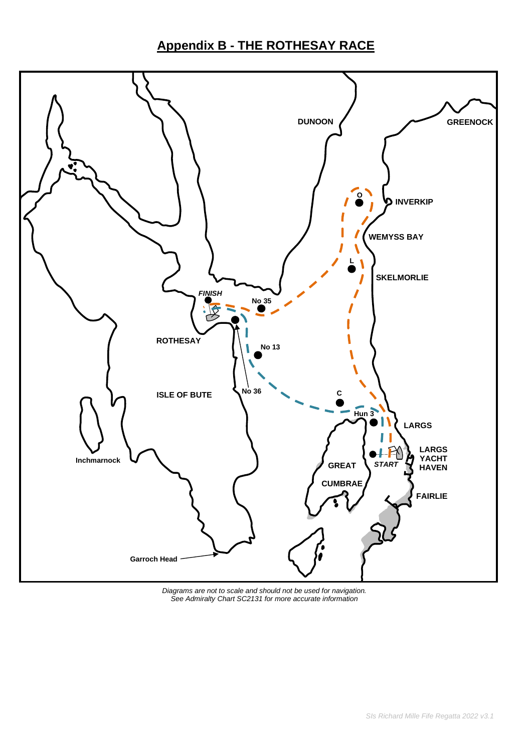# **Appendix B - THE ROTHESAY RACE**



*Diagrams are not to scale and should not be used for navigation. See Admiralty Chart SC2131 for more accurate information*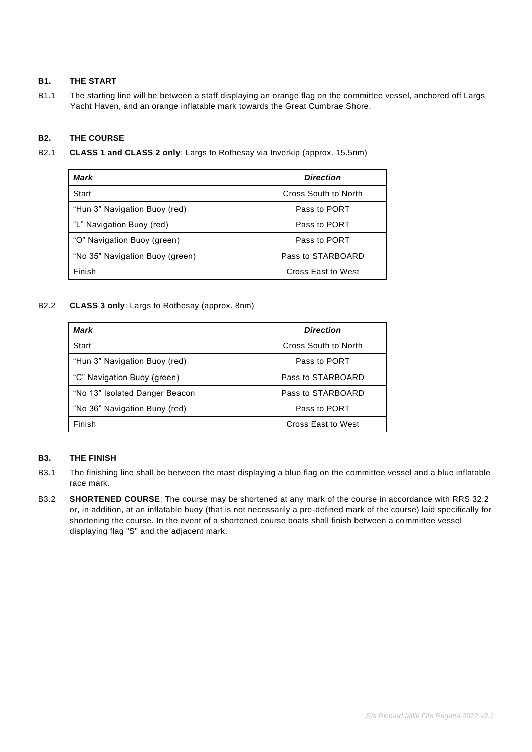# **B1. THE START**

B1.1 The starting line will be between a staff displaying an orange flag on the committee vessel, anchored off Largs Yacht Haven, and an orange inflatable mark towards the Great Cumbrae Shore.

# **B2. THE COURSE**

B2.1 **CLASS 1 and CLASS 2 only**: Largs to Rothesay via Inverkip (approx. 15.5nm)

| Mark                            | <b>Direction</b>     |
|---------------------------------|----------------------|
| Start                           | Cross South to North |
| "Hun 3" Navigation Buoy (red)   | Pass to PORT         |
| "L" Navigation Buoy (red)       | Pass to PORT         |
| "O" Navigation Buoy (green)     | Pass to PORT         |
| "No 35" Navigation Buoy (green) | Pass to STARBOARD    |
| Finish                          | Cross East to West   |

# B2.2 **CLASS 3 only**: Largs to Rothesay (approx. 8nm)

| Mark                           | <b>Direction</b>     |
|--------------------------------|----------------------|
| Start                          | Cross South to North |
| "Hun 3" Navigation Buoy (red)  | Pass to PORT         |
| "C" Navigation Buoy (green)    | Pass to STARBOARD    |
| "No 13" Isolated Danger Beacon | Pass to STARBOARD    |
| "No 36" Navigation Buoy (red)  | Pass to PORT         |
| Finish                         | Cross East to West   |

## **B3. THE FINISH**

- B3.1 The finishing line shall be between the mast displaying a blue flag on the committee vessel and a blue inflatable race mark.
- B3.2 **SHORTENED COURSE**: The course may be shortened at any mark of the course in accordance with RRS 32.2 or, in addition, at an inflatable buoy (that is not necessarily a pre-defined mark of the course) laid specifically for shortening the course. In the event of a shortened course boats shall finish between a committee vessel displaying flag "S" and the adjacent mark.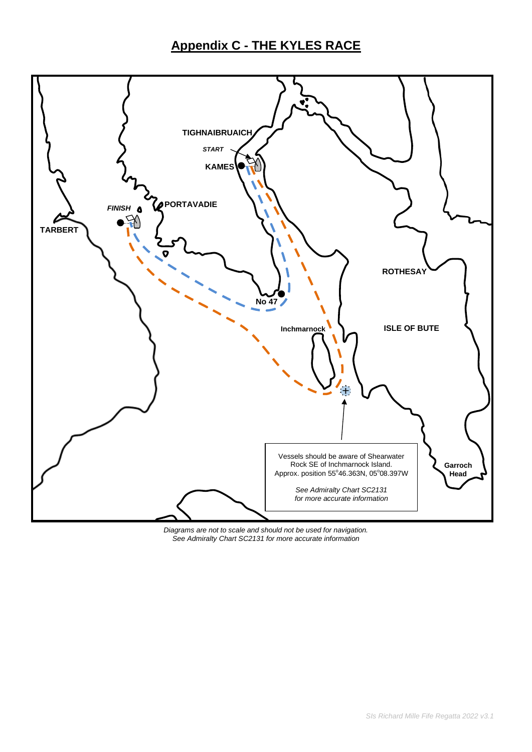# **Appendix C - THE KYLES RACE**



*Diagrams are not to scale and should not be used for navigation. See Admiralty Chart SC2131 for more accurate information*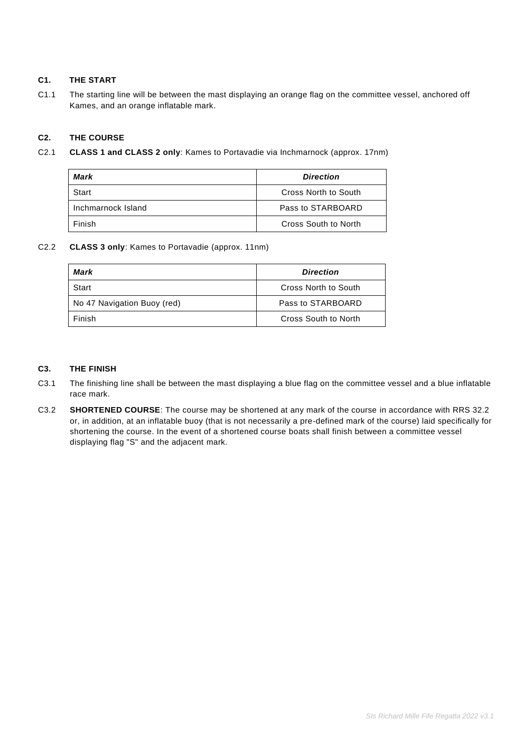# **C1. THE START**

C1.1 The starting line will be between the mast displaying an orange flag on the committee vessel, anchored off Kames, and an orange inflatable mark.

# **C2. THE COURSE**

C2.1 **CLASS 1 and CLASS 2 only**: Kames to Portavadie via Inchmarnock (approx. 17nm)

| Mark               | <b>Direction</b>     |
|--------------------|----------------------|
| Start              | Cross North to South |
| Inchmarnock Island | Pass to STARBOARD    |
| Finish             | Cross South to North |

## C2.2 **CLASS 3 only**: Kames to Portavadie (approx. 11nm)

| Mark                        | <b>Direction</b>     |
|-----------------------------|----------------------|
| Start                       | Cross North to South |
| No 47 Navigation Buoy (red) | Pass to STARBOARD    |
| Finish                      | Cross South to North |

## **C3. THE FINISH**

- C3.1 The finishing line shall be between the mast displaying a blue flag on the committee vessel and a blue inflatable race mark.
- C3.2 **SHORTENED COURSE**: The course may be shortened at any mark of the course in accordance with RRS 32.2 or, in addition, at an inflatable buoy (that is not necessarily a pre-defined mark of the course) laid specifically for shortening the course. In the event of a shortened course boats shall finish between a committee vessel displaying flag "S" and the adjacent mark.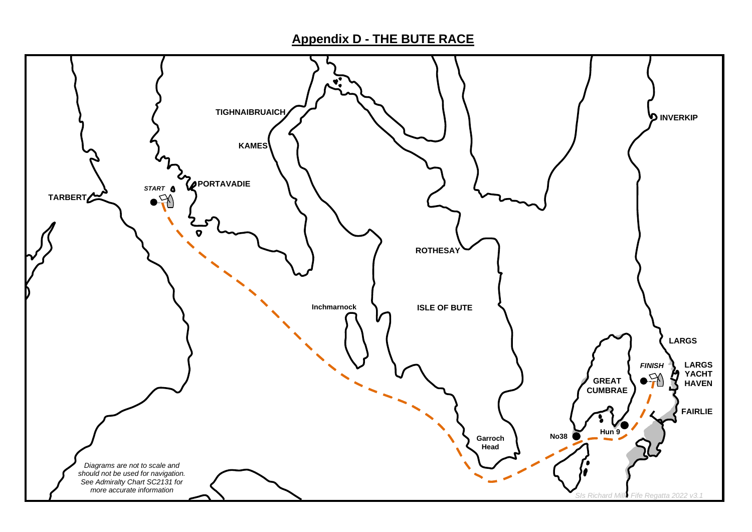**Appendix D - THE BUTE RACE**

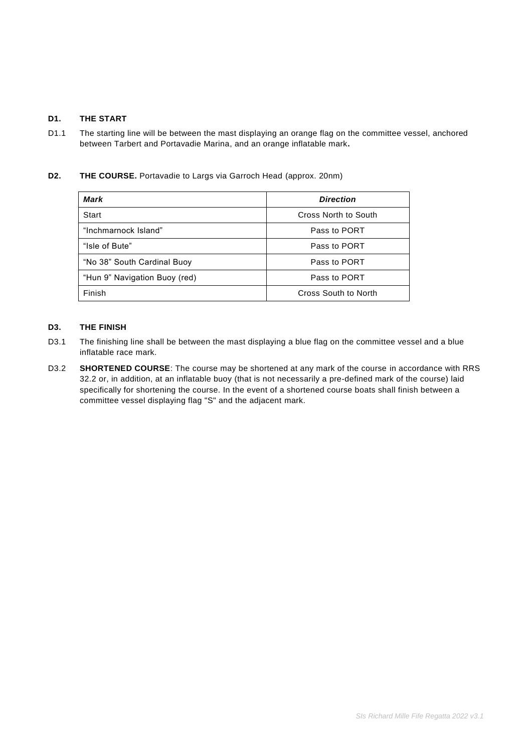# **D1. THE START**

D1.1 The starting line will be between the mast displaying an orange flag on the committee vessel, anchored between Tarbert and Portavadie Marina, and an orange inflatable mark**.**

# **D2. THE COURSE.** Portavadie to Largs via Garroch Head (approx. 20nm)

| Mark                          | <b>Direction</b>            |  |
|-------------------------------|-----------------------------|--|
| Start                         | Cross North to South        |  |
| "Inchmarnock Island"          | Pass to PORT                |  |
| "Isle of Bute"                | Pass to PORT                |  |
| "No 38" South Cardinal Buoy   | Pass to PORT                |  |
| "Hun 9" Navigation Buoy (red) | Pass to PORT                |  |
| Finish                        | <b>Cross South to North</b> |  |

# **D3. THE FINISH**

- D3.1 The finishing line shall be between the mast displaying a blue flag on the committee vessel and a blue inflatable race mark.
- D3.2 **SHORTENED COURSE**: The course may be shortened at any mark of the course in accordance with RRS 32.2 or, in addition, at an inflatable buoy (that is not necessarily a pre-defined mark of the course) laid specifically for shortening the course. In the event of a shortened course boats shall finish between a committee vessel displaying flag "S" and the adjacent mark.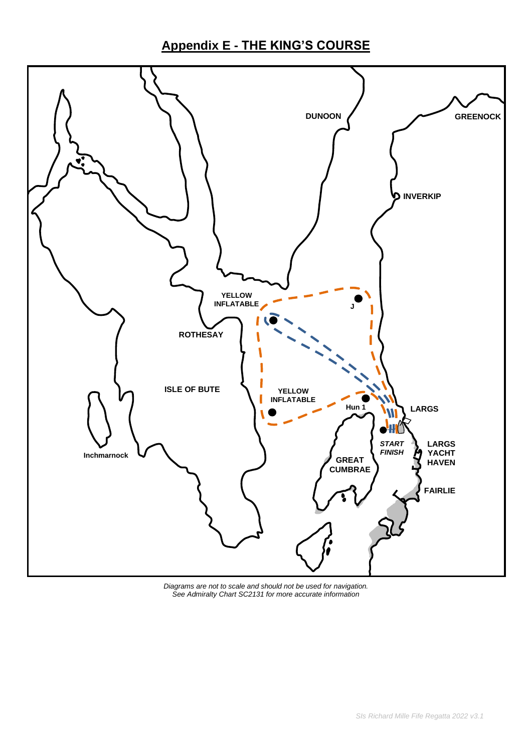# **Appendix E - THE KING'S COURSE**



*Diagrams are not to scale and should not be used for navigation. See Admiralty Chart SC2131 for more accurate information*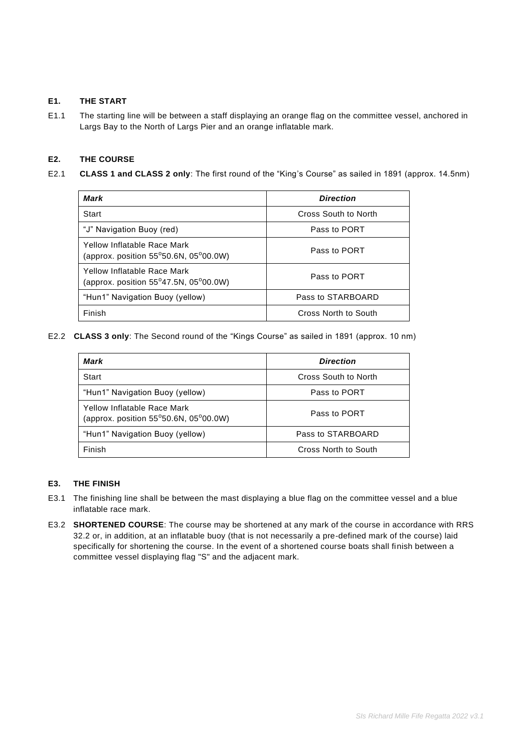# **E1. THE START**

E1.1 The starting line will be between a staff displaying an orange flag on the committee vessel, anchored in Largs Bay to the North of Largs Pier and an orange inflatable mark.

# **E2. THE COURSE**

E2.1 **CLASS 1 and CLASS 2 only**: The first round of the "King's Course" as sailed in 1891 (approx. 14.5nm)

| Mark                                                                                     | <b>Direction</b>     |  |
|------------------------------------------------------------------------------------------|----------------------|--|
| Start                                                                                    | Cross South to North |  |
| "J" Navigation Buoy (red)                                                                | Pass to PORT         |  |
| Yellow Inflatable Race Mark<br>(approx. position $55^{\circ}50.6$ N, $05^{\circ}00.0$ W) | Pass to PORT         |  |
| Yellow Inflatable Race Mark<br>(approx. position $55^{\circ}47.5N$ , $05^{\circ}00.0W$ ) | Pass to PORT         |  |
| "Hun1" Navigation Buoy (yellow)                                                          | Pass to STARBOARD    |  |
| Finish                                                                                   | Cross North to South |  |

E2.2 **CLASS 3 only**: The Second round of the "Kings Course" as sailed in 1891 (approx. 10 nm)

| Mark                                                                                     | <b>Direction</b>     |
|------------------------------------------------------------------------------------------|----------------------|
| Start                                                                                    | Cross South to North |
| "Hun1" Navigation Buoy (yellow)                                                          | Pass to PORT         |
| Yellow Inflatable Race Mark<br>(approx. position $55^{\circ}50.6N$ , $05^{\circ}00.0W$ ) | Pass to PORT         |
| "Hun1" Navigation Buoy (yellow)                                                          | Pass to STARBOARD    |
| Finish                                                                                   | Cross North to South |

## **E3. THE FINISH**

- E3.1 The finishing line shall be between the mast displaying a blue flag on the committee vessel and a blue inflatable race mark.
- E3.2 **SHORTENED COURSE**: The course may be shortened at any mark of the course in accordance with RRS 32.2 or, in addition, at an inflatable buoy (that is not necessarily a pre-defined mark of the course) laid specifically for shortening the course. In the event of a shortened course boats shall finish between a committee vessel displaying flag "S" and the adjacent mark.